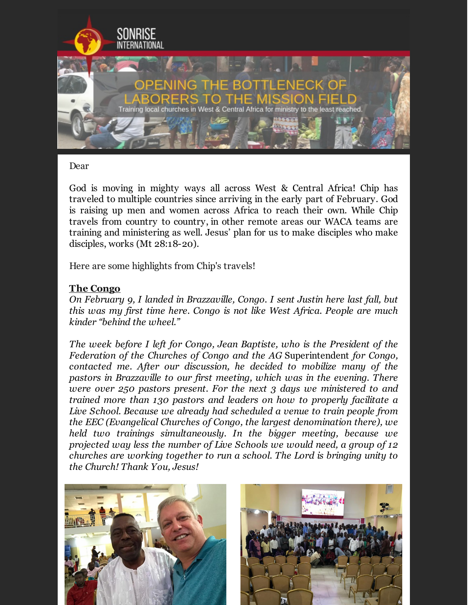

### Dear

God is moving in mighty ways all across West & Central Africa! Chip has traveled to multiple countries since arriving in the early part of February. God is raising up men and women across Africa to reach their own. While Chip travels from country to country, in other remote areas our WACA teams are training and ministering as well. Jesus' plan for us to make disciples who make disciples, works (Mt 28:18-20).

Here are some highlights from Chip's travels!

### **The Congo**

*On February 9, I landed in Brazzaville, Congo. I sent Justin here last fall, but this was my first time here. Congo is not like West Africa. People are much kinder "behind the wheel."*

*The week before I left for Congo, Jean Baptiste, who is the President of the Federation of the Churches of Congo and the AG* Superintendent *for Congo, contacted me. After our discussion, he decided to mobilize many of the pastors in Brazzaville to our first meeting, which was in the evening. There were over 250 pastors present. For the next 3 days we ministered to and trained more than 130 pastors and leaders on how to properly facilitate a Live School. Because we already had scheduled a venue to train people from the EEC (Evangelical Churches of Congo, the largest denomination there), we held two trainings simultaneously. In the bigger meeting, because we projected way less the number of Live Schools we would need, a group of 12 churches are working together to run a school. The Lord is bringing unity to the Church! Thank You, Jesus!*



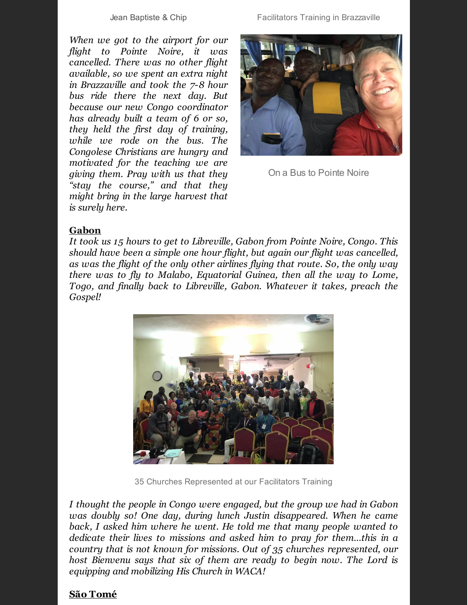Jean Baptiste & Chip Facilitators Training in Brazzaville

*When we got to the airport for our flight to Pointe Noire, it was cancelled. There was no other flight available, so we spent an extra night in Brazzaville and took the 7-8 hour bus ride there the next day. But because our new Congo coordinator has already built a team of 6 or so, they held the first day of training, while we rode on the bus. The Congolese Christians are hungry and motivated for the teaching we are giving them. Pray with us that they "stay the course," and that they might bring in the large harvest that is surely here.*



On a Bus to Pointe Noire

### **Gabon**

*It took us 15 hours to get to Libreville, Gabon from Pointe Noire, Congo. This should have been a simple one hour flight, but again our flight was cancelled, as was the flight of the only other airlines flying that route. So, the only way there was to fly to Malabo, Equatorial Guinea, then all the way to Lome, Togo, and finally back to Libreville, Gabon. Whatever it takes, preach the Gospel!*



35 Churches Represented at our Facilitators Training

*I thought the people in Congo were engaged, but the group we had in Gabon was doubly so! One day, during lunch Justin disappeared. When he came back, I asked him where he went. He told me that many people wanted to dedicate their lives to missions and asked him to pray for them…this in a country that is not known for missions. Out of 35 churches represented, our host Bienvenu says that six of them are ready to begin now. The Lord is equipping and mobilizing His Church in WACA!*

### **São Tomé**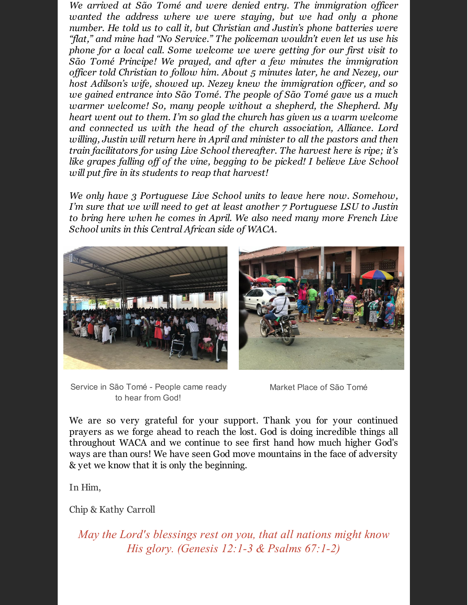*We arrived at São Tomé and were denied entry. The immigration officer wanted the address where we were staying, but we had only a phone number. He told us to call it, but Christian and Justin's phone batteries were "flat," and mine had "No Service." The policeman wouldn't even let us use his phone for a local call. Some welcome we were getting for our first visit to São Tomé Principe! We prayed, and after a few minutes the immigration officer told Christian to follow him. About 5 minutes later, he and Nezey, our host Adilson's wife, showed up. Nezey knew the immigration officer, and so we gained entrance into São Tomé. The people of São Tomé gave us a much warmer welcome! So, many people without a shepherd, the Shepherd. My heart went out to them. I'm so glad the church has given us a warm welcome and connected us with the head of the church association, Alliance. Lord willing, Justin will return here in April and minister to all the pastors and then train facilitators for using Live School thereafter. The harvest here is ripe; it's like grapes falling off of the vine, begging to be picked! I believe Live School will put fire in its students to reap that harvest!*

*We only have 3 Portuguese Live School units to leave here now. Somehow, I'm sure that we will need to get at least another 7 Portuguese LSU to Justin to bring here when he comes in April. We also need many more French Live School units in this Central African side of WACA.*



Service in São Tomé - People came ready to hear from God!

Market Place of São Tomé

We are so very grateful for your support. Thank you for your continued prayers as we forge ahead to reach the lost. God is doing incredible things all throughout WACA and we continue to see first hand how much higher God's ways are than ours! We have seen God move mountains in the face of adversity & yet we know that it is only the beginning.

In Him,

Chip & Kathy Carroll

*May the Lord's blessings rest on you, that all nations might know His glory. (Genesis 12:1-3 & Psalms 67:1-2)*